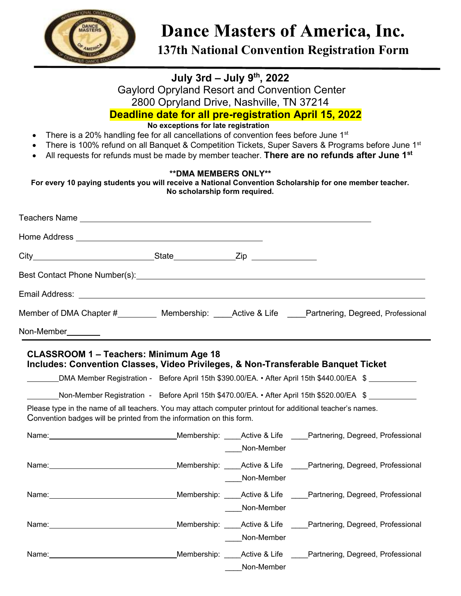

# **Dance Masters of America, Inc.**

**137th National Convention Registration Form** 

## **July 3rd – July 9th, 2022**

Gaylord Opryland Resort and Convention Center 2800 Opryland Drive, Nashville, TN 37214

**Deadline date for all pre-registration April 15, 2022** 

## **No exceptions for late registration**

- There is a 20% handling fee for all cancellations of convention fees before June  $1<sup>st</sup>$
- There is 100% refund on all Banquet & Competition Tickets, Super Savers & Programs before June 1st
- All requests for refunds must be made by member teacher. **There are no refunds after June 1st**

#### **\*\*DMA MEMBERS ONLY\*\***

**For every 10 paying students you will receive a National Convention Scholarship for one member teacher. No scholarship form required.** 

| Email Address: No. 2014 19:30 No. 2014 19:30 No. 2014 19:30 No. 2014 19:30 No. 2014 19:30 No. 2014 19:30 No. 20                                                                                                                |                                                    |                                        |                                                                                                                                                                                                                                                                                                                                                                                                                                                                                                                                                                                                                         |
|--------------------------------------------------------------------------------------------------------------------------------------------------------------------------------------------------------------------------------|----------------------------------------------------|----------------------------------------|-------------------------------------------------------------------------------------------------------------------------------------------------------------------------------------------------------------------------------------------------------------------------------------------------------------------------------------------------------------------------------------------------------------------------------------------------------------------------------------------------------------------------------------------------------------------------------------------------------------------------|
|                                                                                                                                                                                                                                |                                                    |                                        | Member of DMA Chapter #__________ Membership: _____Active & Life _____Partnering, Degreed, Professional                                                                                                                                                                                                                                                                                                                                                                                                                                                                                                                 |
| Non-Member________                                                                                                                                                                                                             | <u> 1989 - John Stein, Amerikaansk politiker (</u> |                                        |                                                                                                                                                                                                                                                                                                                                                                                                                                                                                                                                                                                                                         |
| Please type in the name of all teachers. You may attach computer printout for additional teacher's names.<br>Convention badges will be printed from the information on this form.<br>Name: Name:                               |                                                    | Non-Member<br>Non-Member<br>Non-Member | DMA Member Registration - Before April 15th \$390.00/EA. • After April 15th \$440.00/EA \$<br>_Non-Member Registration - Before April 15th \$470.00/EA. • After April 15th \$520.00/EA \$<br>Name: Name: Name: Name: Name: Name: Name: Name: Name: Name: Name: Name: Name: Name: Name: Name: Name: Name: Name: Name: Name: Name: Name: Name: Name: Name: Name: Name: Name: Name: Name: Name: Name: Name: Name: Name: Name:<br>Name: Name: Name: Name: Nembership: Membership: 2006) Mame: 2007 Membership: 2008 Membership: 2008 Life 2008 M<br>Membership: _____ Active & Life _____ Partnering, Degreed, Professional |
| Name: We have a state of the state of the state of the state of the state of the state of the state of the state of the state of the state of the state of the state of the state of the state of the state of the state of th |                                                    | Non-Member<br>____Non-Member           | Membership: _____Active & Life _____Partnering, Degreed, Professional                                                                                                                                                                                                                                                                                                                                                                                                                                                                                                                                                   |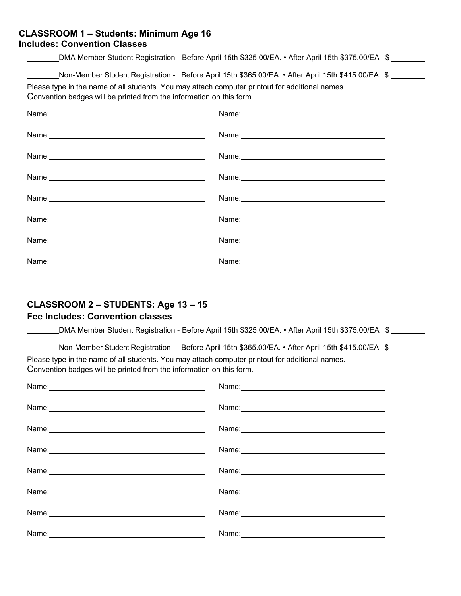#### **CLASSROOM 1 – Students: Minimum Age 16 Includes: Convention Classes**

|                                                                                                                                                                                                                                                                               | DMA Member Student Registration - Before April 15th \$325.00/EA. • After April 15th \$375.00/EA \$                                                                                                                            |  |
|-------------------------------------------------------------------------------------------------------------------------------------------------------------------------------------------------------------------------------------------------------------------------------|-------------------------------------------------------------------------------------------------------------------------------------------------------------------------------------------------------------------------------|--|
| Non-Member Student Registration - Before April 15th \$365.00/EA. • After April 15th \$415.00/EA \$<br>Please type in the name of all students. You may attach computer printout for additional names.<br>Convention badges will be printed from the information on this form. |                                                                                                                                                                                                                               |  |
|                                                                                                                                                                                                                                                                               | Name: Name: Name: Name: Name: Name: Name: Name: Name: Name: Name: Name: Name: Name: Name: Name: Name: Name: Name: Name: Name: Name: Name: Name: Name: Name: Name: Name: Name: Name: Name: Name: Name: Name: Name: Name: Name: |  |
| Name: 2008 2010 2020 2020 2020 2021 2021 2022 2022 2022 2022 2022 2022 2022 2022 2022 2022 2022 2022 2022 2022                                                                                                                                                                | Name: Name: Name: Name: Name: Name: Name: Name: Name: Name: Name: Name: Name: Name: Name: Name: Name: Name: Name: Name: Name: Name: Name: Name: Name: Name: Name: Name: Name: Name: Name: Name: Name: Name: Name: Name: Name: |  |
|                                                                                                                                                                                                                                                                               |                                                                                                                                                                                                                               |  |
|                                                                                                                                                                                                                                                                               |                                                                                                                                                                                                                               |  |
|                                                                                                                                                                                                                                                                               | Name: Name:                                                                                                                                                                                                                   |  |
|                                                                                                                                                                                                                                                                               |                                                                                                                                                                                                                               |  |
|                                                                                                                                                                                                                                                                               |                                                                                                                                                                                                                               |  |
|                                                                                                                                                                                                                                                                               |                                                                                                                                                                                                                               |  |

## **CLASSROOM 2 – STUDENTS: Age 13 – 15**

## **Fee Includes: Convention classes**

|                                                                                                                                                                         | DMA Member Student Registration - Before April 15th \$325.00/EA. • After April 15th \$375.00/EA \$ |
|-------------------------------------------------------------------------------------------------------------------------------------------------------------------------|----------------------------------------------------------------------------------------------------|
| Please type in the name of all students. You may attach computer printout for additional names.<br>Convention badges will be printed from the information on this form. | Non-Member Student Registration - Before April 15th \$365.00/EA. • After April 15th \$415.00/EA \$ |
|                                                                                                                                                                         |                                                                                                    |
|                                                                                                                                                                         |                                                                                                    |
| Name:                                                                                                                                                                   | Name:                                                                                              |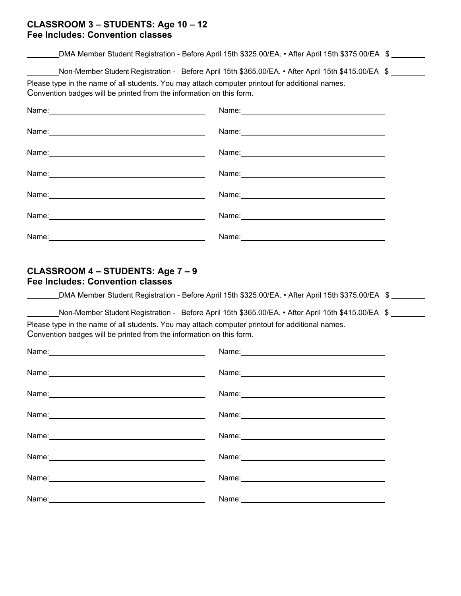#### **CLASSROOM 3 – STUDENTS: Age 10 – 12 Fee Includes: Convention classes**

DMA Member Student Registration - Before April 15th \$325.00/EA. • After April 15th \$375.00/EA \$

Non-Member Student Registration - Before April 15th \$365.00/EA. • After April 15th \$415.00/EA \$

Please type in the name of all students. You may attach computer printout for additional names. Convention badges will be printed from the information on this form.

| Name: Name: |             |
|-------------|-------------|
|             |             |
|             |             |
|             | Name: Name: |
| Name:       | Name:       |

#### **CLASSROOM 4 – STUDENTS: Age 7 – 9 Fee Includes: Convention classes**

DMA Member Student Registration - Before April 15th \$325.00/EA. • After April 15th \$375.00/EA \$

Non-Member Student Registration - Before April 15th \$365.00/EA. • After April 15th \$415.00/EA \$

Please type in the name of all students. You may attach computer printout for additional names. Convention badges will be printed from the information on this form.

| Name: Name: Name: Name: Name: Name: Name: Name: Name: Name: Name: Name: Name: Name: Name: Name: Name: Name: Name: Name: Name: Name: Name: Name: Name: Name: Name: Name: Name: Name: Name: Name: Name: Name: Name: Name: Name: |                                                                                                                                                                                                                               |
|-------------------------------------------------------------------------------------------------------------------------------------------------------------------------------------------------------------------------------|-------------------------------------------------------------------------------------------------------------------------------------------------------------------------------------------------------------------------------|
|                                                                                                                                                                                                                               |                                                                                                                                                                                                                               |
| Name: Name:                                                                                                                                                                                                                   |                                                                                                                                                                                                                               |
|                                                                                                                                                                                                                               | Name: Name: Name: Name: Name: Name: Name: Name: Name: Name: Name: Name: Name: Name: Name: Name: Name: Name: Name: Name: Name: Name: Name: Name: Name: Name: Name: Name: Name: Name: Name: Name: Name: Name: Name: Name: Name: |
|                                                                                                                                                                                                                               |                                                                                                                                                                                                                               |
|                                                                                                                                                                                                                               |                                                                                                                                                                                                                               |
|                                                                                                                                                                                                                               | Name: Name and the service of the service of the service of the service of the service of the service of the service of the service of the service of the service of the service of the service of the service of the service |
|                                                                                                                                                                                                                               |                                                                                                                                                                                                                               |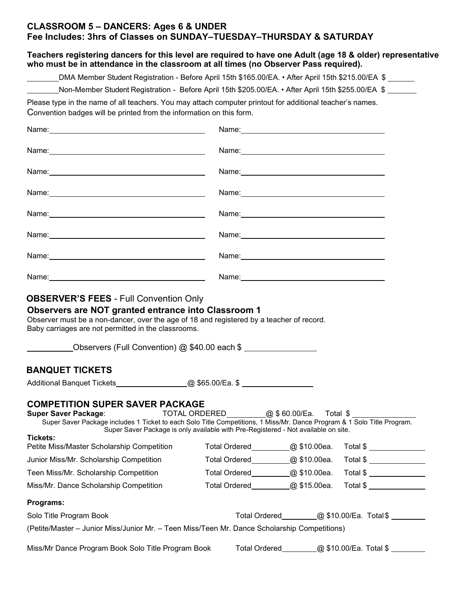#### **CLASSROOM 5 – DANCERS: Ages 6 & UNDER Fee Includes: 3hrs of Classes on SUNDAY–TUESDAY–THURSDAY & SATURDAY**

|                                                                                                                                                                                                                                                                                                          | DMA Member Student Registration - Before April 15th \$165.00/EA. • After April 15th \$215.00/EA \$                         |                                                                                                                |                                      |  |
|----------------------------------------------------------------------------------------------------------------------------------------------------------------------------------------------------------------------------------------------------------------------------------------------------------|----------------------------------------------------------------------------------------------------------------------------|----------------------------------------------------------------------------------------------------------------|--------------------------------------|--|
| Non-Member Student Registration - Before April 15th \$205.00/EA. • After April 15th \$255.00/EA \$                                                                                                                                                                                                       |                                                                                                                            |                                                                                                                |                                      |  |
| Please type in the name of all teachers. You may attach computer printout for additional teacher's names.<br>Convention badges will be printed from the information on this form.                                                                                                                        |                                                                                                                            |                                                                                                                |                                      |  |
|                                                                                                                                                                                                                                                                                                          |                                                                                                                            | Name: Name:                                                                                                    |                                      |  |
|                                                                                                                                                                                                                                                                                                          |                                                                                                                            |                                                                                                                |                                      |  |
|                                                                                                                                                                                                                                                                                                          |                                                                                                                            |                                                                                                                |                                      |  |
|                                                                                                                                                                                                                                                                                                          |                                                                                                                            |                                                                                                                |                                      |  |
|                                                                                                                                                                                                                                                                                                          |                                                                                                                            | Name: 2008 2010 2020 2020 2020 2021 2021 2022 2022 2021 2022 2022 2022 2022 2022 2022 2022 2022 2022 2022 2022 |                                      |  |
|                                                                                                                                                                                                                                                                                                          |                                                                                                                            |                                                                                                                |                                      |  |
|                                                                                                                                                                                                                                                                                                          |                                                                                                                            | Name: 2008 2010 2021 2022 2023 2024 2022 2022 2023 2024 2022 2023 2024 2022 2023 2024 2022 2023 2024 2022 2023 |                                      |  |
|                                                                                                                                                                                                                                                                                                          |                                                                                                                            |                                                                                                                |                                      |  |
|                                                                                                                                                                                                                                                                                                          |                                                                                                                            |                                                                                                                |                                      |  |
| <b>OBSERVER'S FEES - Full Convention Only</b><br>Observers are NOT granted entrance into Classroom 1<br>Observer must be a non-dancer, over the age of 18 and registered by a teacher of record.<br>Baby carriages are not permitted in the classrooms.<br>Observers (Full Convention) @ \$40.00 each \$ |                                                                                                                            |                                                                                                                |                                      |  |
| <b>BANQUET TICKETS</b>                                                                                                                                                                                                                                                                                   |                                                                                                                            |                                                                                                                |                                      |  |
| <b>Additional Banquet Tickets</b>                                                                                                                                                                                                                                                                        | _@ \$65.00/Ea. \$ ___________________                                                                                      |                                                                                                                |                                      |  |
| <b>COMPETITION SUPER SAVER PACKAGE</b><br><b>Super Saver Package:</b><br>Super Saver Package includes 1 Ticket to each Solo Title Competitions, 1 Miss/Mr. Dance Program & 1 Solo Title Program.                                                                                                         | TOTAL ORDERED @ \$60.00/Ea. Total \$<br>Super Saver Package is only available with Pre-Registered - Not available on site. |                                                                                                                |                                      |  |
|                                                                                                                                                                                                                                                                                                          | Total Ordered <u>Q</u> \$10.00ea.                                                                                          |                                                                                                                | Total \$ ________________            |  |
|                                                                                                                                                                                                                                                                                                          | Total Ordered <u>Q</u> \$10.00ea.                                                                                          |                                                                                                                | Total \$ ________________            |  |
|                                                                                                                                                                                                                                                                                                          | Total Ordered @ \$10.00ea.                                                                                                 |                                                                                                                | Total \$                             |  |
|                                                                                                                                                                                                                                                                                                          | Total Ordered @ \$15.00ea.                                                                                                 |                                                                                                                |                                      |  |
|                                                                                                                                                                                                                                                                                                          |                                                                                                                            |                                                                                                                |                                      |  |
| Tickets:<br>Petite Miss/Master Scholarship Competition<br>Junior Miss/Mr. Scholarship Competition<br>Teen Miss/Mr. Scholarship Competition<br>Miss/Mr. Dance Scholarship Competition<br>Programs:<br>Solo Title Program Book                                                                             |                                                                                                                            |                                                                                                                | Total Ordered @ \$10.00/Ea. Total \$ |  |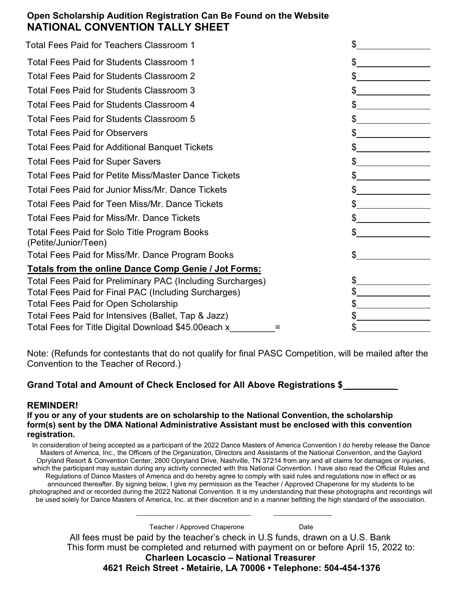## **Open Scholarship Audition Registration Can Be Found on the Website NATIONAL CONVENTION TALLY SHEET**

| Total Fees Paid for Teachers Classroom 1                             |               |
|----------------------------------------------------------------------|---------------|
| Total Fees Paid for Students Classroom 1                             | $\frac{1}{2}$ |
| Total Fees Paid for Students Classroom 2                             |               |
| Total Fees Paid for Students Classroom 3                             | $\mathbb{S}$  |
| Total Fees Paid for Students Classroom 4                             | \$            |
| Total Fees Paid for Students Classroom 5                             | $S_{-}$       |
| <b>Total Fees Paid for Observers</b>                                 | $\mathbb{S}$  |
| <b>Total Fees Paid for Additional Banquet Tickets</b>                | $\mathbb{S}$  |
| <b>Total Fees Paid for Super Savers</b>                              | $\frac{1}{2}$ |
| <b>Total Fees Paid for Petite Miss/Master Dance Tickets</b>          |               |
| Total Fees Paid for Junior Miss/Mr. Dance Tickets                    | $\frac{1}{2}$ |
| Total Fees Paid for Teen Miss/Mr. Dance Tickets                      |               |
| <b>Total Fees Paid for Miss/Mr. Dance Tickets</b>                    | $\mathbb{S}$  |
| Total Fees Paid for Solo Title Program Books<br>(Petite/Junior/Teen) | \$            |
| Total Fees Paid for Miss/Mr. Dance Program Books                     | \$            |
| Totals from the online Dance Comp Genie / Jot Forms:                 |               |
| Total Fees Paid for Preliminary PAC (Including Surcharges)           |               |
| Total Fees Paid for Final PAC (Including Surcharges)                 |               |
| <b>Total Fees Paid for Open Scholarship</b>                          | \$            |
| Total Fees Paid for Intensives (Ballet, Tap & Jazz)                  |               |
| Total Fees for Title Digital Download \$45.00each x                  |               |

Note: (Refunds for contestants that do not qualify for final PASC Competition, will be mailed after the Convention to the Teacher of Record.)

#### Grand Total and Amount of Check Enclosed for All Above Registrations \$

#### **REMINDER!**

#### **If you or any of your students are on scholarship to the National Convention, the scholarship form(s) sent by the DMA National Administrative Assistant must be enclosed with this convention registration.**

In consideration of being accepted as a participant of the 2022 Dance Masters of America Convention I do hereby release the Dance Masters of America, Inc., the Officers of the Organization, Directors and Assistants of the National Convention, and the Gaylord Opryland Resort & Convention Center, 2800 Opryland Drive, Nashville, TN 37214 from any and all claims for damages or injuries, which the participant may sustain during any activity connected with this National Convention. I have also read the Official Rules and Regulations of Dance Masters of America and do hereby agree to comply with said rules and regulations now in effect or as announced thereafter. By signing below, I give my permission as the Teacher / Approved Chaperone for my students to be photographed and or recorded during the 2022 National Convention. It is my understanding that these photographs and recordings will be used solely for Dance Masters of America, Inc. at their discretion and in a manner befitting the high standard of the association.

All fees must be paid by the teacher's check in U.S funds, drawn on a U.S. Bank This form must be completed and returned with payment on or before April 15, 2022 to: **Charleen Locascio – National Treasurer**  Teacher / Approved Chaperone Date

**4621 Reich Street - Metairie, LA 70006 • Telephone: 504-454-1376**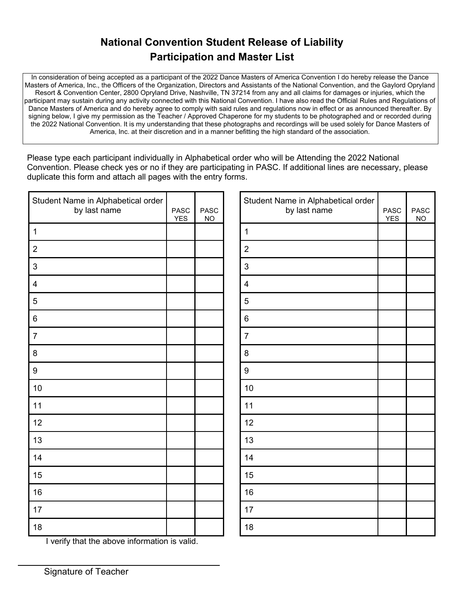# **National Convention Student Release of Liability Participation and Master List**

In consideration of being accepted as a participant of the 2022 Dance Masters of America Convention I do hereby release the Dance Masters of America, Inc., the Officers of the Organization, Directors and Assistants of the National Convention, and the Gaylord Opryland Resort & Convention Center, 2800 Opryland Drive, Nashville, TN 37214 from any and all claims for damages or injuries, which the participant may sustain during any activity connected with this National Convention. I have also read the Official Rules and Regulations of Dance Masters of America and do hereby agree to comply with said rules and regulations now in effect or as announced thereafter. By signing below, I give my permission as the Teacher / Approved Chaperone for my students to be photographed and or recorded during the 2022 National Convention. It is my understanding that these photographs and recordings will be used solely for Dance Masters of America, Inc. at their discretion and in a manner befitting the high standard of the association.

Please type each participant individually in Alphabetical order who will be Attending the 2022 National Convention. Please check yes or no if they are participating in PASC. If additional lines are necessary, please duplicate this form and attach all pages with the entry forms.

| Student Name in Alphabetical order<br>by last name | <b>PASC</b><br><b>YES</b> | <b>PASC</b><br><b>NO</b> |
|----------------------------------------------------|---------------------------|--------------------------|
| $\mathbf{1}$                                       |                           |                          |
| $\overline{2}$                                     |                           |                          |
| 3                                                  |                           |                          |
| $\overline{\mathbf{4}}$                            |                           |                          |
| 5                                                  |                           |                          |
| $\,6$                                              |                           |                          |
| $\overline{7}$                                     |                           |                          |
| 8                                                  |                           |                          |
| 9                                                  |                           |                          |
| 10                                                 |                           |                          |
| 11                                                 |                           |                          |
| 12                                                 |                           |                          |
| 13                                                 |                           |                          |
| 14                                                 |                           |                          |
| 15                                                 |                           |                          |
| 16                                                 |                           |                          |
| 17                                                 |                           |                          |
| 18                                                 |                           |                          |
| I verify that the above information is valid.      |                           |                          |

| Student Name in Alphabetical order<br>by last name | <b>PASC</b><br><b>YES</b> | <b>PASC</b><br><b>NO</b> |
|----------------------------------------------------|---------------------------|--------------------------|
| $\mathbf{1}$                                       |                           |                          |
| $\overline{2}$                                     |                           |                          |
| 3                                                  |                           |                          |
| $\overline{4}$                                     |                           |                          |
| 5                                                  |                           |                          |
| $6\phantom{1}6$                                    |                           |                          |
| $\overline{7}$                                     |                           |                          |
| 8                                                  |                           |                          |
| $\boldsymbol{9}$                                   |                           |                          |
| 10                                                 |                           |                          |
| 11                                                 |                           |                          |
| 12                                                 |                           |                          |
| 13                                                 |                           |                          |
| 14                                                 |                           |                          |
| 15                                                 |                           |                          |
| 16                                                 |                           |                          |
| 17                                                 |                           |                          |
| 18                                                 |                           |                          |

Signature of Teacher